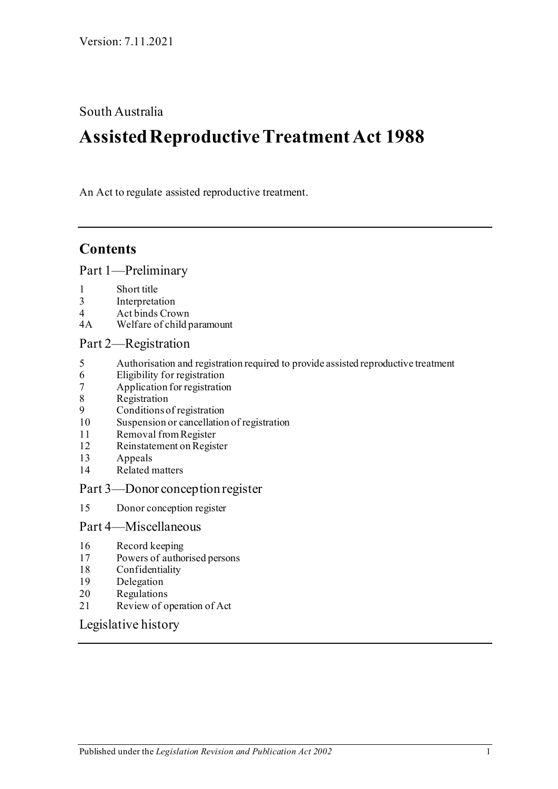South Australia

# **Assisted Reproductive Treatment Act 1988**

An Act to regulate assisted reproductive treatment.

# **Contents**

[Part 1—Preliminary](#page-1-0)

- 
- 1 [Short title](#page-1-1)<br>3 Interpreta 3 [Interpretation](#page-1-2)<br>4 Act binds Croy
- 4 [Act binds Crown](#page-1-3)<br>4A Welfare of child r
- [Welfare of child paramount](#page-1-4)

### [Part 2—Registration](#page-2-0)

- 5 [Authorisation and registration required to provide assisted reproductive treatment](#page-2-1)
- 6 [Eligibility for registration](#page-2-2)
- 7 [Application for registration](#page-2-3)
- **[Registration](#page-3-0)**
- 9 [Conditions of registration](#page-3-1)
- 10 [Suspension or cancellation of registration](#page-4-0)
- 11 [Removal from Register](#page-5-0)<br>12 Reinstatement on Regist
- [Reinstatement on Register](#page-5-1)
- 13 [Appeals](#page-5-2)
- 14 [Related matters](#page-6-0)

#### [Part 3—Donor conception register](#page-6-1)

15 [Donor conception register](#page-6-2)

#### [Part 4—Miscellaneous](#page-7-0)

- 16 [Record keeping](#page-7-1)
- 17 [Powers of authorised persons](#page-7-2)
- 18 [Confidentiality](#page-8-0)
- 19 [Delegation](#page-8-1)
- 20 [Regulations](#page-9-0)
- 21 [Review of operation of Act](#page-9-1)

[Legislative history](#page-10-0)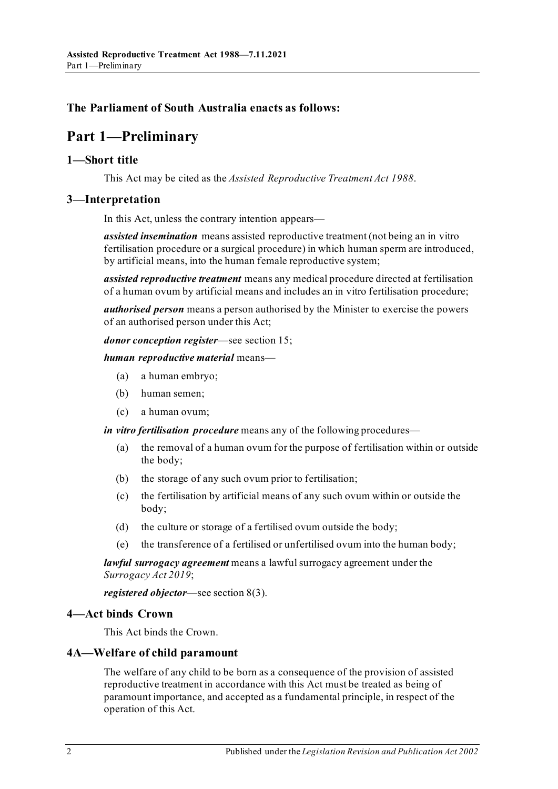### <span id="page-1-0"></span>**The Parliament of South Australia enacts as follows:**

# **Part 1—Preliminary**

#### <span id="page-1-1"></span>**1—Short title**

This Act may be cited as the *Assisted Reproductive Treatment Act 1988*.

#### <span id="page-1-2"></span>**3—Interpretation**

In this Act, unless the contrary intention appears—

*assisted insemination* means assisted reproductive treatment (not being an in vitro fertilisation procedure or a surgical procedure) in which human sperm are introduced, by artificial means, into the human female reproductive system;

*assisted reproductive treatment* means any medical procedure directed at fertilisation of a human ovum by artificial means and includes an in vitro fertilisation procedure;

*authorised person* means a person authorised by the Minister to exercise the powers of an authorised person under this Act;

*donor conception register*—see [section](#page-6-2) 15;

#### *human reproductive material* means—

- (a) a human embryo;
- (b) human semen;
- (c) a human ovum;

*in vitro fertilisation procedure* means any of the following procedures—

- (a) the removal of a human ovum for the purpose of fertilisation within or outside the body;
- (b) the storage of any such ovum prior to fertilisation;
- (c) the fertilisation by artificial means of any such ovum within or outside the body;
- (d) the culture or storage of a fertilised ovum outside the body;
- (e) the transference of a fertilised or unfertilised ovum into the human body;

*lawful surrogacy agreement* means a lawful surrogacy agreement under the *[Surrogacy Act](http://www.legislation.sa.gov.au/index.aspx?action=legref&type=act&legtitle=Surrogacy%20Act%202019) 2019*;

*registered objector*—se[e section](#page-3-2) 8(3).

#### <span id="page-1-3"></span>**4—Act binds Crown**

This Act binds the Crown.

#### <span id="page-1-4"></span>**4A—Welfare of child paramount**

The welfare of any child to be born as a consequence of the provision of assisted reproductive treatment in accordance with this Act must be treated as being of paramount importance, and accepted as a fundamental principle, in respect of the operation of this Act.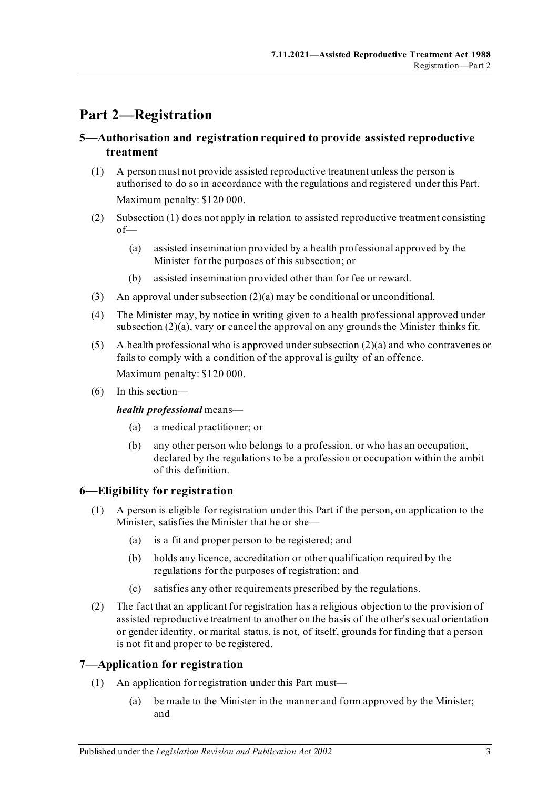# <span id="page-2-0"></span>**Part 2—Registration**

### <span id="page-2-1"></span>**5—Authorisation and registration required to provide assisted reproductive treatment**

- <span id="page-2-4"></span>(1) A person must not provide assisted reproductive treatment unless the person is authorised to do so in accordance with the regulations and registered under this Part. Maximum penalty: \$120 000.
- <span id="page-2-6"></span><span id="page-2-5"></span>(2) [Subsection](#page-2-4) (1) does not apply in relation to assisted reproductive treatment consisting of—
	- (a) assisted insemination provided by a health professional approved by the Minister for the purposes of this subsection; or
	- (b) assisted insemination provided other than for fee or reward.
- (3) An approval unde[r subsection](#page-2-5) (2)(a) may be conditional or unconditional.
- <span id="page-2-7"></span>(4) The Minister may, by notice in writing given to a health professional approved under [subsection](#page-2-5) (2)(a), vary or cancel the approval on any grounds the Minister thinks fit.
- (5) A health professional who is approved unde[r subsection](#page-2-5) (2)(a) and who contravenes or fails to comply with a condition of the approval is guilty of an offence. Maximum penalty: \$120 000.
- (6) In this section—

#### *health professional* means—

- (a) a medical practitioner; or
- (b) any other person who belongs to a profession, or who has an occupation, declared by the regulations to be a profession or occupation within the ambit of this definition.

### <span id="page-2-2"></span>**6—Eligibility for registration**

- (1) A person is eligible for registration under this Part if the person, on application to the Minister, satisfies the Minister that he or she—
	- (a) is a fit and proper person to be registered; and
	- (b) holds any licence, accreditation or other qualification required by the regulations for the purposes of registration; and
	- (c) satisfies any other requirements prescribed by the regulations.
- (2) The fact that an applicant for registration has a religious objection to the provision of assisted reproductive treatment to another on the basis of the other's sexual orientation or gender identity, or marital status, is not, of itself, grounds for finding that a person is not fit and proper to be registered.

#### <span id="page-2-3"></span>**7—Application for registration**

- (1) An application for registration under this Part must—
	- (a) be made to the Minister in the manner and form approved by the Minister; and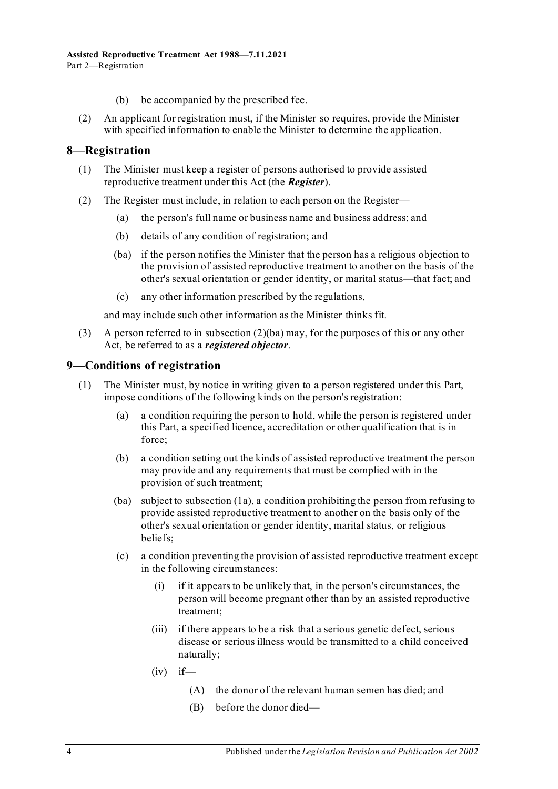- (b) be accompanied by the prescribed fee.
- (2) An applicant for registration must, if the Minister so requires, provide the Minister with specified information to enable the Minister to determine the application.

#### <span id="page-3-0"></span>**8—Registration**

- (1) The Minister must keep a register of persons authorised to provide assisted reproductive treatment under this Act (the *Register*).
- <span id="page-3-3"></span>(2) The Register must include, in relation to each person on the Register—
	- (a) the person's full name or business name and business address; and
	- (b) details of any condition of registration; and
	- (ba) if the person notifies the Minister that the person has a religious objection to the provision of assisted reproductive treatment to another on the basis of the other's sexual orientation or gender identity, or marital status—that fact; and
	- (c) any other information prescribed by the regulations,

and may include such other information as the Minister thinks fit.

<span id="page-3-2"></span>(3) A person referred to in [subsection](#page-3-3) (2)(ba) may, for the purposes of this or any other Act, be referred to as a *registered objector*.

#### <span id="page-3-1"></span>**9—Conditions of registration**

- <span id="page-3-4"></span>(1) The Minister must, by notice in writing given to a person registered under this Part, impose conditions of the following kinds on the person's registration:
	- (a) a condition requiring the person to hold, while the person is registered under this Part, a specified licence, accreditation or other qualification that is in force;
	- (b) a condition setting out the kinds of assisted reproductive treatment the person may provide and any requirements that must be complied with in the provision of such treatment;
	- (ba) subject to [subsection](#page-4-1) (1a), a condition prohibiting the person from refusing to provide assisted reproductive treatment to another on the basis only of the other's sexual orientation or gender identity, marital status, or religious beliefs;
	- (c) a condition preventing the provision of assisted reproductive treatment except in the following circumstances:
		- (i) if it appears to be unlikely that, in the person's circumstances, the person will become pregnant other than by an assisted reproductive treatment;
		- (iii) if there appears to be a risk that a serious genetic defect, serious disease or serious illness would be transmitted to a child conceived naturally;
		- $(iv)$  if—
			- (A) the donor of the relevant human semen has died; and
			- (B) before the donor died—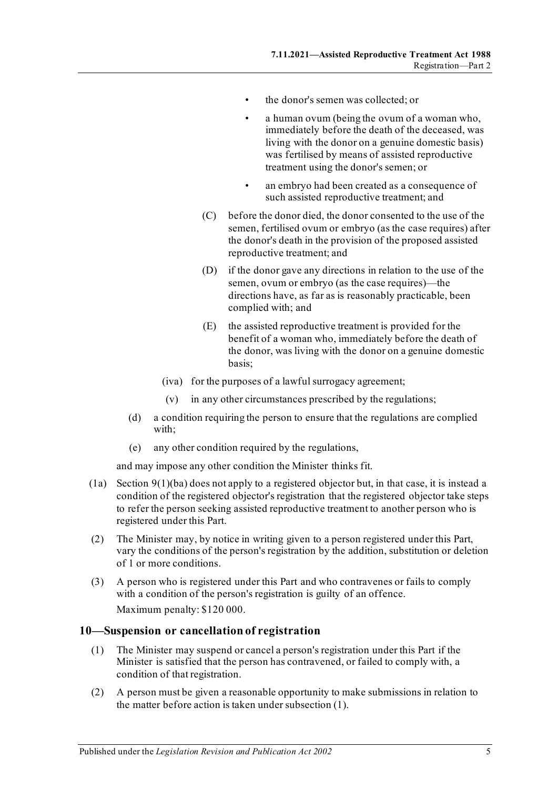- the donor's semen was collected; or
- a human ovum (being the ovum of a woman who, immediately before the death of the deceased, was living with the donor on a genuine domestic basis) was fertilised by means of assisted reproductive treatment using the donor's semen; or
- an embryo had been created as a consequence of such assisted reproductive treatment; and
- (C) before the donor died, the donor consented to the use of the semen, fertilised ovum or embryo (as the case requires) after the donor's death in the provision of the proposed assisted reproductive treatment; and
- (D) if the donor gave any directions in relation to the use of the semen, ovum or embryo (as the case requires)—the directions have, as far as is reasonably practicable, been complied with; and
- (E) the assisted reproductive treatment is provided for the benefit of a woman who, immediately before the death of the donor, was living with the donor on a genuine domestic basis;
- (iva) for the purposes of a lawful surrogacy agreement;
- (v) in any other circumstances prescribed by the regulations;
- (d) a condition requiring the person to ensure that the regulations are complied with;
- (e) any other condition required by the regulations,

and may impose any other condition the Minister thinks fit.

- <span id="page-4-1"></span>(1a) Section [9\(1\)\(ba\)](#page-3-4) does not apply to a registered objector but, in that case, it is instead a condition of the registered objector's registration that the registered objector take steps to refer the person seeking assisted reproductive treatment to another person who is registered under this Part.
- (2) The Minister may, by notice in writing given to a person registered under this Part, vary the conditions of the person's registration by the addition, substitution or deletion of 1 or more conditions.
- (3) A person who is registered under this Part and who contravenes or fails to comply with a condition of the person's registration is guilty of an offence. Maximum penalty: \$120 000.

#### <span id="page-4-2"></span><span id="page-4-0"></span>**10—Suspension or cancellation of registration**

- (1) The Minister may suspend or cancel a person's registration under this Part if the Minister is satisfied that the person has contravened, or failed to comply with, a condition of that registration.
- (2) A person must be given a reasonable opportunity to make submissions in relation to the matter before action is taken unde[r subsection](#page-4-2) (1).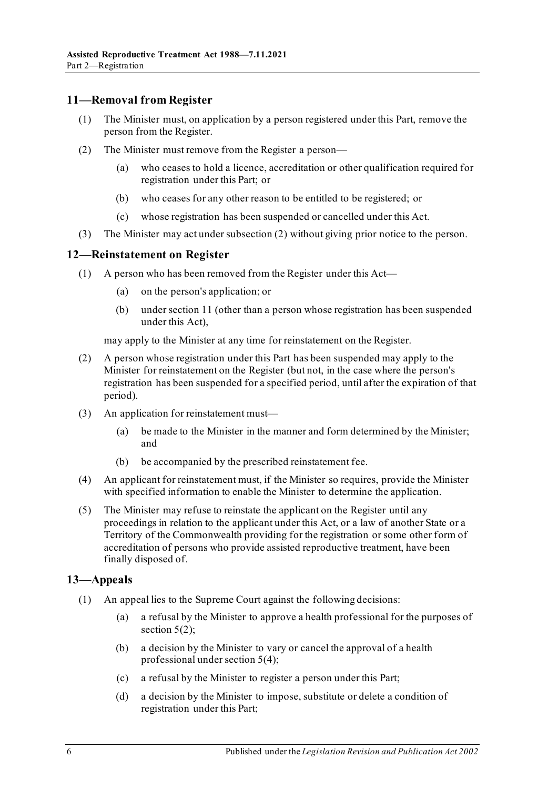#### <span id="page-5-0"></span>**11—Removal from Register**

- (1) The Minister must, on application by a person registered under this Part, remove the person from the Register.
- <span id="page-5-3"></span>(2) The Minister must remove from the Register a person—
	- (a) who ceases to hold a licence, accreditation or other qualification required for registration under this Part; or
	- (b) who ceases for any other reason to be entitled to be registered; or
	- (c) whose registration has been suspended or cancelled under this Act.
- (3) The Minister may act unde[r subsection](#page-5-3) (2) without giving prior notice to the person.

#### <span id="page-5-1"></span>**12—Reinstatement on Register**

- (1) A person who has been removed from the Register under this Act—
	- (a) on the person's application; or
	- (b) unde[r section](#page-5-0) 11 (other than a person whose registration has been suspended under this Act),

may apply to the Minister at any time for reinstatement on the Register.

- (2) A person whose registration under this Part has been suspended may apply to the Minister for reinstatement on the Register (but not, in the case where the person's registration has been suspended for a specified period, until after the expiration of that period).
- (3) An application for reinstatement must—
	- (a) be made to the Minister in the manner and form determined by the Minister; and
	- (b) be accompanied by the prescribed reinstatement fee.
- (4) An applicant for reinstatement must, if the Minister so requires, provide the Minister with specified information to enable the Minister to determine the application.
- (5) The Minister may refuse to reinstate the applicant on the Register until any proceedings in relation to the applicant under this Act, or a law of another State or a Territory of the Commonwealth providing for the registration or some other form of accreditation of persons who provide assisted reproductive treatment, have been finally disposed of.

#### <span id="page-5-2"></span>**13—Appeals**

- (1) An appeal lies to the Supreme Court against the following decisions:
	- (a) a refusal by the Minister to approve a health professional for the purposes of [section](#page-2-6)  $5(2)$ ;
	- (b) a decision by the Minister to vary or cancel the approval of a health professional unde[r section](#page-2-7) 5(4);
	- (c) a refusal by the Minister to register a person under this Part;
	- (d) a decision by the Minister to impose, substitute or delete a condition of registration under this Part;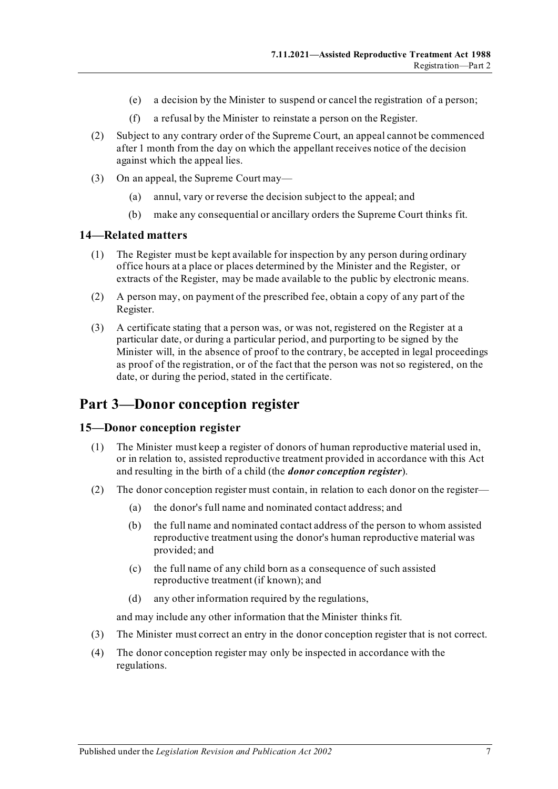- (e) a decision by the Minister to suspend or cancel the registration of a person;
- (f) a refusal by the Minister to reinstate a person on the Register.
- (2) Subject to any contrary order of the Supreme Court, an appeal cannot be commenced after 1 month from the day on which the appellant receives notice of the decision against which the appeal lies.
- (3) On an appeal, the Supreme Court may—
	- (a) annul, vary or reverse the decision subject to the appeal; and
	- (b) make any consequential or ancillary orders the Supreme Court thinks fit.

#### <span id="page-6-0"></span>**14—Related matters**

- (1) The Register must be kept available for inspection by any person during ordinary office hours at a place or places determined by the Minister and the Register, or extracts of the Register, may be made available to the public by electronic means.
- (2) A person may, on payment of the prescribed fee, obtain a copy of any part of the Register.
- (3) A certificate stating that a person was, or was not, registered on the Register at a particular date, or during a particular period, and purporting to be signed by the Minister will, in the absence of proof to the contrary, be accepted in legal proceedings as proof of the registration, or of the fact that the person was not so registered, on the date, or during the period, stated in the certificate.

# <span id="page-6-1"></span>**Part 3—Donor conception register**

#### <span id="page-6-2"></span>**15—Donor conception register**

- (1) The Minister must keep a register of donors of human reproductive material used in, or in relation to, assisted reproductive treatment provided in accordance with this Act and resulting in the birth of a child (the *donor conception register*).
- (2) The donor conception register must contain, in relation to each donor on the register—
	- (a) the donor's full name and nominated contact address; and
	- (b) the full name and nominated contact address of the person to whom assisted reproductive treatment using the donor's human reproductive material was provided; and
	- (c) the full name of any child born as a consequence of such assisted reproductive treatment (if known); and
	- (d) any other information required by the regulations,

and may include any other information that the Minister thinks fit.

- (3) The Minister must correct an entry in the donor conception register that is not correct.
- (4) The donor conception register may only be inspected in accordance with the regulations.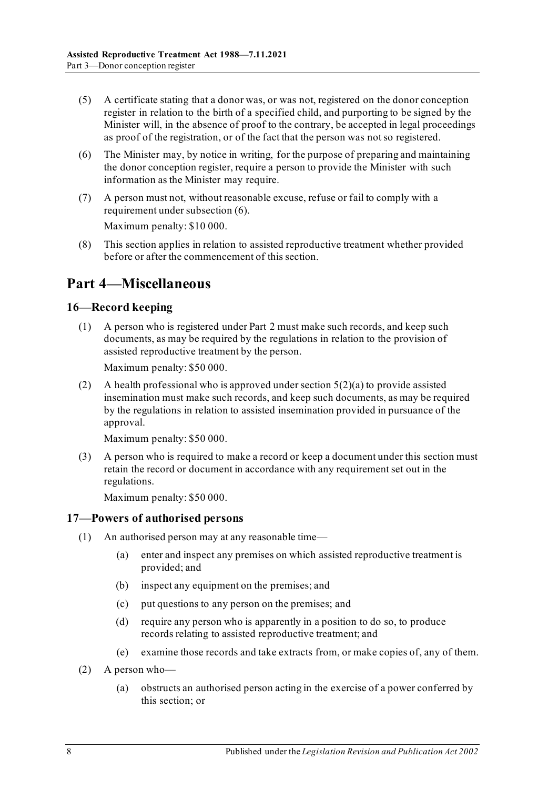- (5) A certificate stating that a donor was, or was not, registered on the donor conception register in relation to the birth of a specified child, and purporting to be signed by the Minister will, in the absence of proof to the contrary, be accepted in legal proceedings as proof of the registration, or of the fact that the person was not so registered.
- <span id="page-7-3"></span>(6) The Minister may, by notice in writing, for the purpose of preparing and maintaining the donor conception register, require a person to provide the Minister with such information as the Minister may require.
- (7) A person must not, without reasonable excuse, refuse or fail to comply with a requirement unde[r subsection](#page-7-3) (6).

Maximum penalty: \$10 000.

(8) This section applies in relation to assisted reproductive treatment whether provided before or after the commencement of this section.

# <span id="page-7-0"></span>**Part 4—Miscellaneous**

### <span id="page-7-1"></span>**16—Record keeping**

(1) A person who is registered under [Part](#page-2-0) 2 must make such records, and keep such documents, as may be required by the regulations in relation to the provision of assisted reproductive treatment by the person.

Maximum penalty: \$50 000.

(2) A health professional who is approved unde[r section](#page-2-5)  $5(2)(a)$  to provide assisted insemination must make such records, and keep such documents, as may be required by the regulations in relation to assisted insemination provided in pursuance of the approval.

Maximum penalty: \$50 000.

(3) A person who is required to make a record or keep a document under this section must retain the record or document in accordance with any requirement set out in the regulations.

Maximum penalty: \$50 000.

#### <span id="page-7-2"></span>**17—Powers of authorised persons**

- (1) An authorised person may at any reasonable time—
	- (a) enter and inspect any premises on which assisted reproductive treatment is provided; and
	- (b) inspect any equipment on the premises; and
	- (c) put questions to any person on the premises; and
	- (d) require any person who is apparently in a position to do so, to produce records relating to assisted reproductive treatment; and
	- (e) examine those records and take extracts from, or make copies of, any of them.
- (2) A person who—
	- (a) obstructs an authorised person acting in the exercise of a power conferred by this section; or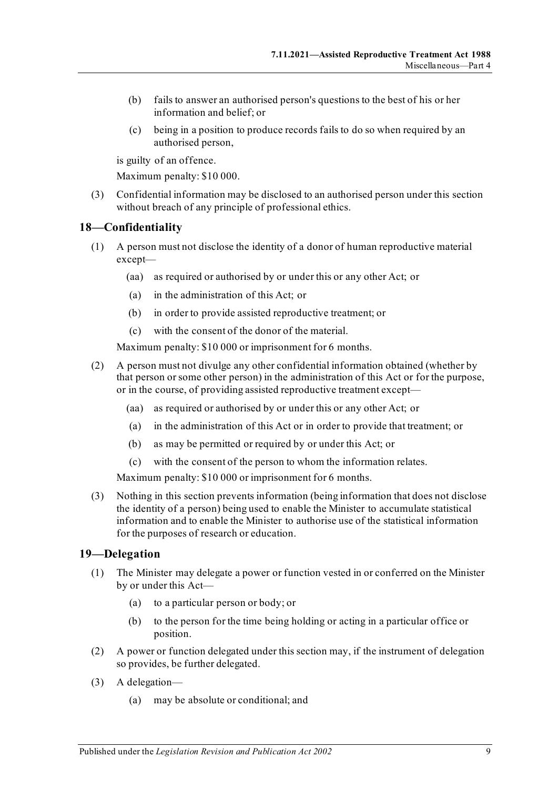- (b) fails to answer an authorised person's questions to the best of his or her information and belief; or
- (c) being in a position to produce records fails to do so when required by an authorised person,

is guilty of an offence.

Maximum penalty: \$10 000.

(3) Confidential information may be disclosed to an authorised person under this section without breach of any principle of professional ethics.

#### <span id="page-8-0"></span>**18—Confidentiality**

- (1) A person must not disclose the identity of a donor of human reproductive material except—
	- (aa) as required or authorised by or under this or any other Act; or
	- (a) in the administration of this Act; or
	- (b) in order to provide assisted reproductive treatment; or
	- (c) with the consent of the donor of the material.

Maximum penalty: \$10 000 or imprisonment for 6 months.

- (2) A person must not divulge any other confidential information obtained (whether by that person or some other person) in the administration of this Act or for the purpose, or in the course, of providing assisted reproductive treatment except—
	- (aa) as required or authorised by or under this or any other Act; or
	- (a) in the administration of this Act or in order to provide that treatment; or
	- (b) as may be permitted or required by or under this Act; or
	- (c) with the consent of the person to whom the information relates.

Maximum penalty: \$10 000 or imprisonment for 6 months.

(3) Nothing in this section prevents information (being information that does not disclose the identity of a person) being used to enable the Minister to accumulate statistical information and to enable the Minister to authorise use of the statistical information for the purposes of research or education.

#### <span id="page-8-1"></span>**19—Delegation**

- (1) The Minister may delegate a power or function vested in or conferred on the Minister by or under this Act—
	- (a) to a particular person or body; or
	- (b) to the person for the time being holding or acting in a particular office or position.
- (2) A power or function delegated under this section may, if the instrument of delegation so provides, be further delegated.
- (3) A delegation—
	- (a) may be absolute or conditional; and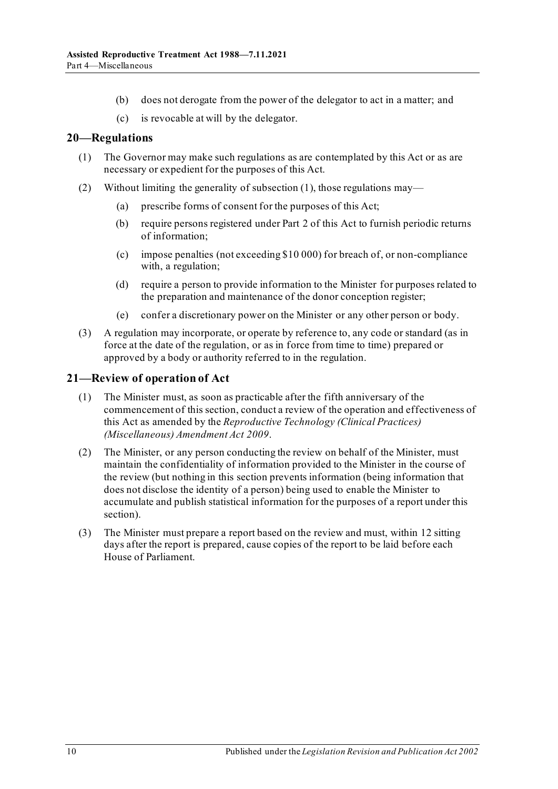- (b) does not derogate from the power of the delegator to act in a matter; and
- (c) is revocable at will by the delegator.

#### <span id="page-9-2"></span><span id="page-9-0"></span>**20—Regulations**

- (1) The Governor may make such regulations as are contemplated by this Act or as are necessary or expedient for the purposes of this Act.
- (2) Without limiting the generality o[f subsection](#page-9-2) (1), those regulations may—
	- (a) prescribe forms of consent for the purposes of this Act;
	- (b) require persons registered unde[r Part 2](#page-2-0) of this Act to furnish periodic returns of information;
	- (c) impose penalties (not exceeding \$10 000) for breach of, or non-compliance with, a regulation;
	- (d) require a person to provide information to the Minister for purposes related to the preparation and maintenance of the donor conception register;
	- (e) confer a discretionary power on the Minister or any other person or body.
- (3) A regulation may incorporate, or operate by reference to, any code or standard (as in force at the date of the regulation, or as in force from time to time) prepared or approved by a body or authority referred to in the regulation.

#### <span id="page-9-1"></span>**21—Review of operation of Act**

- (1) The Minister must, as soon as practicable after the fifth anniversary of the commencement of this section, conduct a review of the operation and effectiveness of this Act as amended by the *[Reproductive Technology \(Clinical Practices\)](http://www.legislation.sa.gov.au/index.aspx?action=legref&type=act&legtitle=Reproductive%20Technology%20(Clinical%20Practices)%20(Miscellaneous)%20Amendment%20Act%202009)  [\(Miscellaneous\) Amendment Act](http://www.legislation.sa.gov.au/index.aspx?action=legref&type=act&legtitle=Reproductive%20Technology%20(Clinical%20Practices)%20(Miscellaneous)%20Amendment%20Act%202009) 2009*.
- (2) The Minister, or any person conducting the review on behalf of the Minister, must maintain the confidentiality of information provided to the Minister in the course of the review (but nothing in this section prevents information (being information that does not disclose the identity of a person) being used to enable the Minister to accumulate and publish statistical information for the purposes of a report under this section).
- (3) The Minister must prepare a report based on the review and must, within 12 sitting days after the report is prepared, cause copies of the report to be laid before each House of Parliament.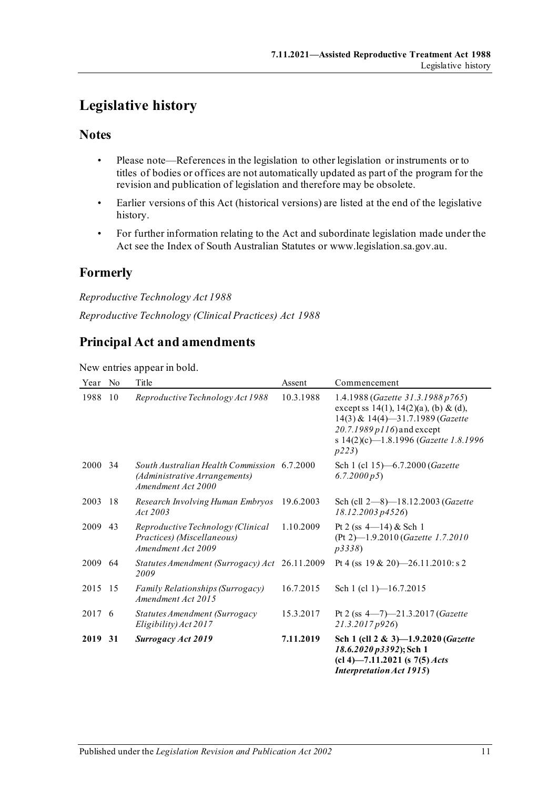# <span id="page-10-0"></span>**Legislative history**

## **Notes**

- Please note—References in the legislation to other legislation or instruments or to titles of bodies or offices are not automatically updated as part of the program for the revision and publication of legislation and therefore may be obsolete.
- Earlier versions of this Act (historical versions) are listed at the end of the legislative history.
- For further information relating to the Act and subordinate legislation made under the Act see the Index of South Australian Statutes or www.legislation.sa.gov.au.

# **Formerly**

*Reproductive Technology Act 1988 Reproductive Technology (Clinical Practices) Act 1988*

# **Principal Act and amendments**

New entries appear in bold.

| Year    | No  | Title                                                                                              | Assent    | Commencement                                                                                                                                                                                         |
|---------|-----|----------------------------------------------------------------------------------------------------|-----------|------------------------------------------------------------------------------------------------------------------------------------------------------------------------------------------------------|
| 1988    | 10  | Reproductive Technology Act 1988                                                                   | 10.3.1988 | 1.4.1988 (Gazette 31.3.1988 p765)<br>except ss $14(1)$ , $14(2)(a)$ , (b) & (d),<br>14(3) & 14(4)-31.7.1989 (Gazette<br>20.7.1989 p116) and except<br>s 14(2)(c)-1.8.1996 (Gazette 1.8.1996<br>p223) |
| 2000    | -34 | South Australian Health Commission 6.7.2000<br>(Administrative Arrangements)<br>Amendment Act 2000 |           | Sch 1 (cl 15)-6.7.2000 (Gazette<br>6.7.2000 p5                                                                                                                                                       |
| 2003    | -18 | Research Involving Human Embryos<br>Act 2003                                                       | 19.6.2003 | Sch (cll 2-8)-18.12.2003 (Gazette<br>18.12.2003 p4526)                                                                                                                                               |
| 2009    | 43  | Reproductive Technology (Clinical<br>Practices) (Miscellaneous)<br>Amendment Act 2009              | 1.10.2009 | Pt 2 (ss $4-14$ ) & Sch 1<br>(Pt 2)-1.9.2010 (Gazette 1.7.2010<br>p3338                                                                                                                              |
| 2009    | -64 | Statutes Amendment (Surrogacy) Act 26.11.2009<br>2009                                              |           | Pt 4 (ss $19 & 20$ )—26.11.2010: s 2                                                                                                                                                                 |
| 2015 15 |     | <b>Family Relationships (Surrogacy)</b><br>Amendment Act 2015                                      | 16.7.2015 | Sch 1 (cl 1) $-16.7.2015$                                                                                                                                                                            |
| 2017 6  |     | <b>Statutes Amendment (Surrogacy</b><br>Eligibility) Act 2017                                      | 15.3.2017 | Pt 2 (ss $4 - 7 - 21.3.2017$ (Gazette<br>21.3.2017p926                                                                                                                                               |
| 2019    | 31  | <b>Surrogacy Act 2019</b>                                                                          | 7.11.2019 | Sch 1 (cll 2 & 3)-1.9.2020 (Gazette<br>18.6.2020 p3392); Sch 1<br>$(cl 4)$ —7.11.2021 (s 7(5) <i>Acts</i><br><b>Interpretation Act 1915)</b>                                                         |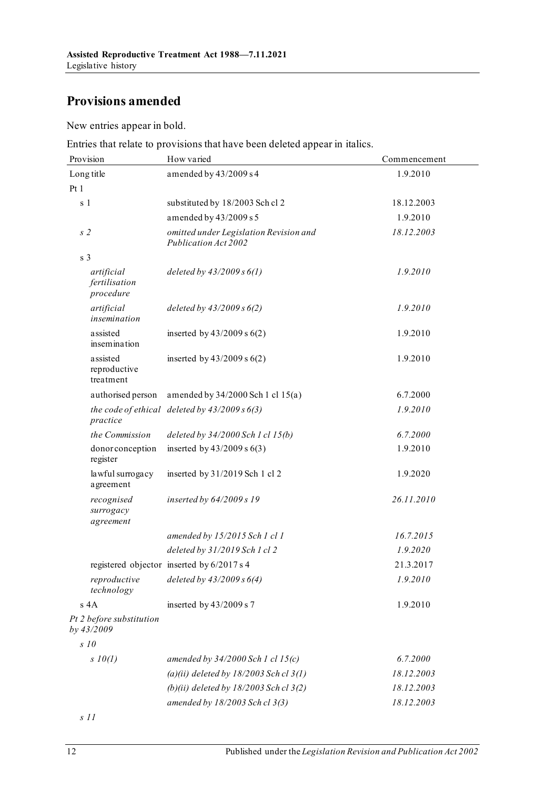# **Provisions amended**

New entries appear in bold.

Entries that relate to provisions that have been deleted appear in italics.

| Provision                                | How varied                                                     | Commencement |
|------------------------------------------|----------------------------------------------------------------|--------------|
| Long title                               | amended by 43/2009 s 4                                         | 1.9.2010     |
| Pt1                                      |                                                                |              |
| s 1                                      | substituted by 18/2003 Sch cl 2                                | 18.12.2003   |
|                                          | amended by 43/2009 s 5                                         | 1.9.2010     |
| s <sub>2</sub>                           | omitted under Legislation Revision and<br>Publication Act 2002 | 18.12.2003   |
| s <sub>3</sub>                           |                                                                |              |
| artificial<br>fertilisation<br>procedure | deleted by $43/2009 s 6(1)$                                    | 1.9.2010     |
| artificial<br>insemination               | deleted by $43/2009 s 6(2)$                                    | 1.9.2010     |
| assisted<br>insemination                 | inserted by $43/2009$ s $6(2)$                                 | 1.9.2010     |
| assisted<br>reproductive<br>treatment    | inserted by $43/2009$ s $6(2)$                                 | 1.9.2010     |
| authorised person                        | amended by 34/2000 Sch 1 cl 15(a)                              | 6.7.2000     |
| practice                                 | the code of ethical deleted by $43/2009 s 6(3)$                | 1.9.2010     |
| the Commission                           | deleted by 34/2000 Sch 1 cl 15(b)                              | 6.7.2000     |
| donor conception<br>register             | inserted by $43/2009$ s $6(3)$                                 | 1.9.2010     |
| lawful surrogacy<br>agreement            | inserted by 31/2019 Sch 1 cl 2                                 | 1.9.2020     |
| recognised<br>surrogacy<br>agreement     | inserted by 64/2009 s 19                                       | 26.11.2010   |
|                                          | amended by 15/2015 Sch 1 cl 1                                  | 16.7.2015    |
|                                          | deleted by 31/2019 Sch 1 cl 2                                  | 1.9.2020     |
|                                          | registered objector inserted by 6/2017 s 4                     | 21.3.2017    |
| reproductive<br>technology               | deleted by $43/2009 s 6(4)$                                    | 1.9.2010     |
| $s$ 4 $A$                                | inserted by $43/2009$ s 7                                      | 1.9.2010     |
| Pt 2 before substitution<br>by 43/2009   |                                                                |              |
| $s$ 10                                   |                                                                |              |
| $s$ 10(1)                                | amended by $34/2000$ Sch 1 cl 15(c)                            | 6.7.2000     |
|                                          | (a)(ii) deleted by $18/2003$ Sch cl 3(1)                       | 18.12.2003   |
|                                          | (b)(ii) deleted by $18/2003$ Sch cl 3(2)                       | 18.12.2003   |
|                                          | amended by 18/2003 Sch cl 3(3)                                 | 18.12.2003   |

*s 11*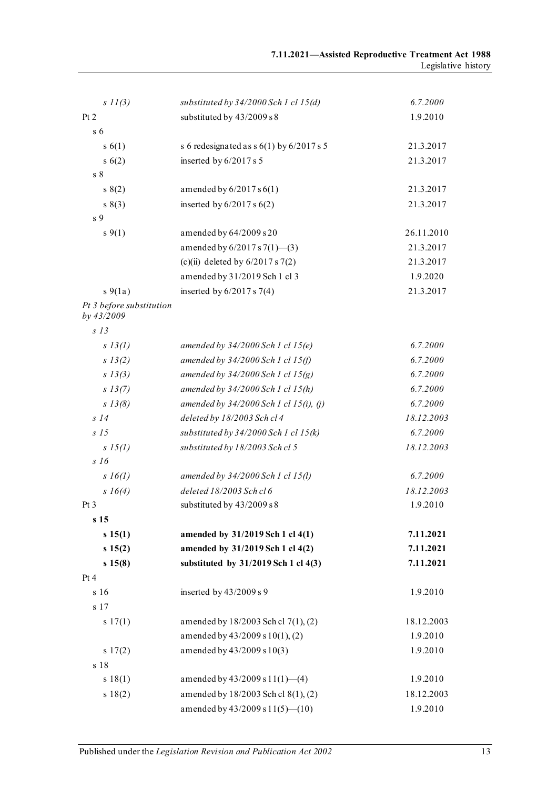| $s$ $11(3)$                            | substituted by $34/2000$ Sch 1 cl 15(d)    | 6.7.2000   |
|----------------------------------------|--------------------------------------------|------------|
| Pt 2                                   | substituted by 43/2009 s 8                 | 1.9.2010   |
| s <sub>6</sub>                         |                                            |            |
| s(6(1))                                | s 6 redesignated as $s$ 6(1) by 6/2017 s 5 | 21.3.2017  |
| s(6(2))                                | inserted by 6/2017 s 5                     | 21.3.2017  |
| $\,$ s $\,$ 8 $\,$                     |                                            |            |
| s(2)                                   | amended by $6/2017 s 6(1)$                 | 21.3.2017  |
| s(3)                                   | inserted by $6/2017$ s $6(2)$              | 21.3.2017  |
| s <sub>9</sub>                         |                                            |            |
| $s \, 9(1)$                            | amended by 64/2009 s 20                    | 26.11.2010 |
|                                        | amended by $6/2017 s 7(1)$ —(3)            | 21.3.2017  |
|                                        | (c)(ii) deleted by $6/2017 s 7(2)$         | 21.3.2017  |
|                                        | amended by 31/2019 Sch 1 cl 3              | 1.9.2020   |
| $s\ 9(1a)$                             | inserted by $6/2017 s 7(4)$                | 21.3.2017  |
| Pt 3 before substitution<br>by 43/2009 |                                            |            |
| $s$ 13                                 |                                            |            |
| $s$ 13(1)                              | amended by $34/2000$ Sch 1 cl 15(e)        | 6.7.2000   |
| s 13(2)                                | amended by $34/2000$ Sch 1 cl 15(f)        | 6.7.2000   |
| s 13(3)                                | amended by $34/2000$ Sch 1 cl $15(g)$      | 6.7.2000   |
| s 13(7)                                | amended by $34/2000$ Sch 1 cl 15(h)        | 6.7.2000   |
| $s$ 13(8)                              | amended by $34/2000$ Sch 1 cl 15(i), (j)   | 6.7.2000   |
| $s$ 14                                 | deleted by 18/2003 Sch cl 4                | 18.12.2003 |
| S <sub>15</sub>                        | substituted by $34/2000$ Sch 1 cl 15(k)    | 6.7.2000   |
| $s\,15(l)$                             | substituted by 18/2003 Sch cl 5            | 18.12.2003 |
| s16                                    |                                            |            |
| $s\;16(1)$                             | amended by $34/2000$ Sch 1 cl 15(l)        | 6.7.2000   |
| $s \; 16(4)$                           | deleted 18/2003 Sch cl 6                   | 18.12.2003 |
| Pt <sub>3</sub>                        | substituted by 43/2009 s 8                 | 1.9.2010   |
| s 15                                   |                                            |            |
| s 15(1)                                | amended by 31/2019 Sch 1 cl 4(1)           | 7.11.2021  |
| s 15(2)                                | amended by 31/2019 Sch 1 cl 4(2)           | 7.11.2021  |
| s 15(8)                                | substituted by 31/2019 Sch 1 cl 4(3)       | 7.11.2021  |
| Pt 4                                   |                                            |            |
| s 16                                   | inserted by 43/2009 s 9                    | 1.9.2010   |
| s 17                                   |                                            |            |
| s 17(1)                                | amended by 18/2003 Sch cl 7(1), (2)        | 18.12.2003 |
|                                        | amended by 43/2009 s 10(1), (2)            | 1.9.2010   |
| s 17(2)                                | amended by 43/2009 s 10(3)                 | 1.9.2010   |
| s 18                                   |                                            |            |
| s 18(1)                                | amended by $43/2009$ s $11(1)$ —(4)        | 1.9.2010   |
| s 18(2)                                | amended by 18/2003 Sch cl 8(1), (2)        | 18.12.2003 |
|                                        | amended by $43/2009$ s $11(5)$ (10)        | 1.9.2010   |